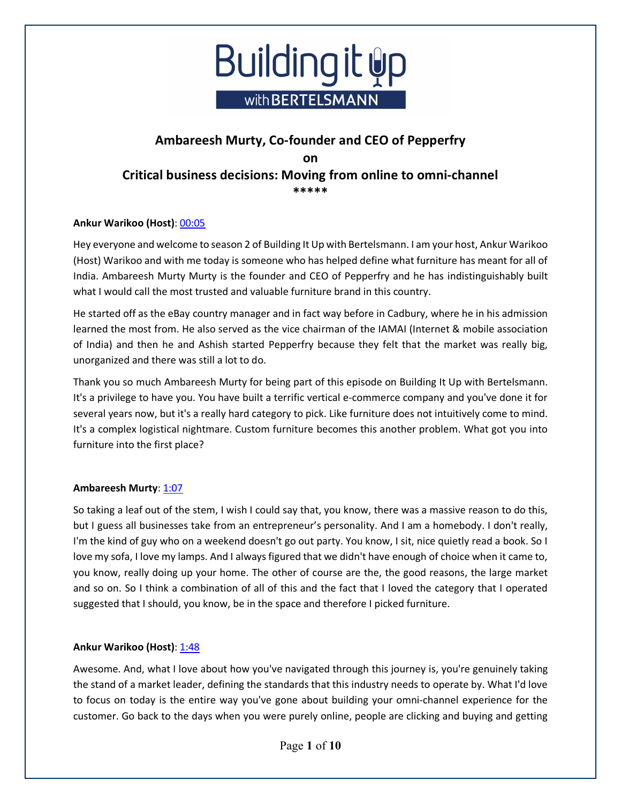

## **Ankur Warikoo (Host)**: 00:05

Hey everyone and welcome to season 2 of Building It Up with Bertelsmann. I am your host, Ankur Warikoo (Host) Warikoo and with me today is someone who has helped define what furniture has meant for all of India. Ambareesh Murty Murty is the founder and CEO of Pepperfry and he has indistinguishably built what I would call the most trusted and valuable furniture brand in this country.

He started off as the eBay country manager and in fact way before in Cadbury, where he in his admission learned the most from. He also served as the vice chairman of the IAMAI (Internet & mobile association of India) and then he and Ashish started Pepperfry because they felt that the market was really big, unorganized and there was still a lot to do.

Thank you so much Ambareesh Murty for being part of this episode on Building It Up with Bertelsmann. It's a privilege to have you. You have built a terrific vertical e-commerce company and you've done it for several years now, but it's a really hard category to pick. Like furniture does not intuitively come to mind. It's a complex logistical nightmare. Custom furniture becomes this another problem. What got you into furniture into the first place?

## **Ambareesh Murty**: 1:07

So taking a leaf out of the stem, I wish I could say that, you know, there was a massive reason to do this, but I guess all businesses take from an entrepreneur's personality. And I am a homebody. I don't really, I'm the kind of guy who on a weekend doesn't go out party. You know, I sit, nice quietly read a book. So I love my sofa, I love my lamps. And I always figured that we didn't have enough of choice when it came to, you know, really doing up your home. The other of course are the, the good reasons, the large market and so on. So I think a combination of all of this and the fact that I loved the category that I operated suggested that I should, you know, be in the space and therefore I picked furniture.

## **Ankur Warikoo (Host): 1:48**

Awesome. And, what I love about how you've navigated through this journey is, you're genuinely taking the stand of a market leader, defining the standards that this industry needs to operate by. What I'd love to focus on today is the entire way you've gone about building your omni-channel experience for the customer. Go back to the days when you were purely online, people are clicking and buying and getting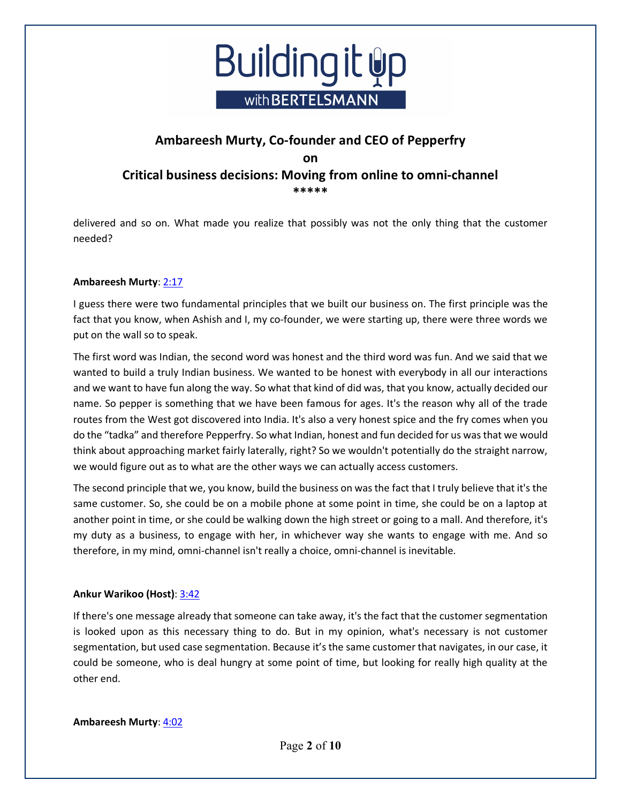

delivered and so on. What made you realize that possibly was not the only thing that the customer needed?

## **Ambareesh Murty**: 2:17

I guess there were two fundamental principles that we built our business on. The first principle was the fact that you know, when Ashish and I, my co-founder, we were starting up, there were three words we put on the wall so to speak.

The first word was Indian, the second word was honest and the third word was fun. And we said that we wanted to build a truly Indian business. We wanted to be honest with everybody in all our interactions and we want to have fun along the way. So what that kind of did was, that you know, actually decided our name. So pepper is something that we have been famous for ages. It's the reason why all of the trade routes from the West got discovered into India. It's also a very honest spice and the fry comes when you do the "tadka" and therefore Pepperfry. So what Indian, honest and fun decided for us was that we would think about approaching market fairly laterally, right? So we wouldn't potentially do the straight narrow, we would figure out as to what are the other ways we can actually access customers.

The second principle that we, you know, build the business on was the fact that I truly believe that it's the same customer. So, she could be on a mobile phone at some point in time, she could be on a laptop at another point in time, or she could be walking down the high street or going to a mall. And therefore, it's my duty as a business, to engage with her, in whichever way she wants to engage with me. And so therefore, in my mind, omni-channel isn't really a choice, omni-channel is inevitable.

## **Ankur Warikoo (Host)**: 3:42

If there's one message already that someone can take away, it's the fact that the customer segmentation is looked upon as this necessary thing to do. But in my opinion, what's necessary is not customer segmentation, but used case segmentation. Because it's the same customer that navigates, in our case, it could be someone, who is deal hungry at some point of time, but looking for really high quality at the other end.

## **Ambareesh Murty**: 4:02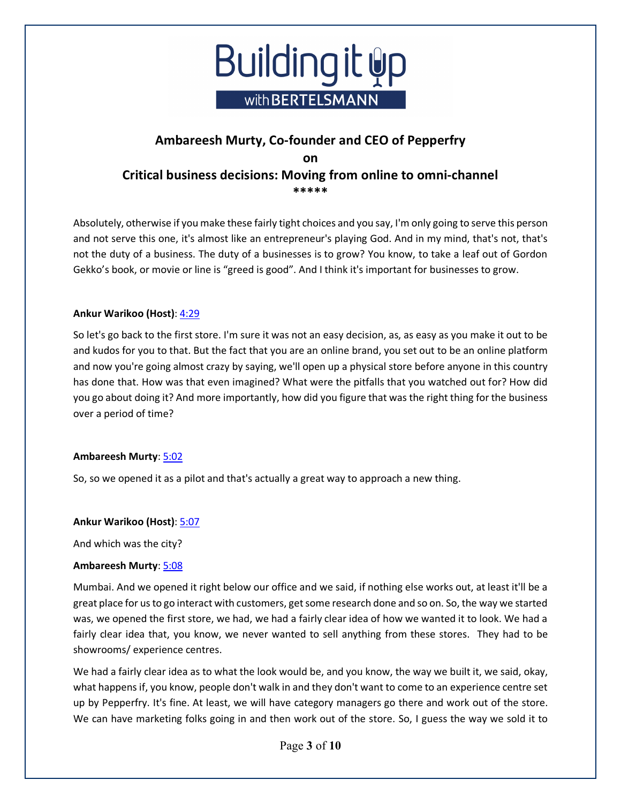

Absolutely, otherwise if you make these fairly tight choices and you say, I'm only going to serve this person and not serve this one, it's almost like an entrepreneur's playing God. And in my mind, that's not, that's not the duty of a business. The duty of a businesses is to grow? You know, to take a leaf out of Gordon Gekko's book, or movie or line is "greed is good". And I think it's important for businesses to grow.

## **Ankur Warikoo (Host)**: 4:29

So let's go back to the first store. I'm sure it was not an easy decision, as, as easy as you make it out to be and kudos for you to that. But the fact that you are an online brand, you set out to be an online platform and now you're going almost crazy by saying, we'll open up a physical store before anyone in this country has done that. How was that even imagined? What were the pitfalls that you watched out for? How did you go about doing it? And more importantly, how did you figure that was the right thing for the business over a period of time?

## **Ambareesh Murty**: 5:02

So, so we opened it as a pilot and that's actually a great way to approach a new thing.

## **Ankur Warikoo (Host)**: 5:07

And which was the city?

## **Ambareesh Murty**: 5:08

Mumbai. And we opened it right below our office and we said, if nothing else works out, at least it'll be a great place for us to go interact with customers, get some research done and so on. So, the way we started was, we opened the first store, we had, we had a fairly clear idea of how we wanted it to look. We had a fairly clear idea that, you know, we never wanted to sell anything from these stores. They had to be showrooms/ experience centres.

We had a fairly clear idea as to what the look would be, and you know, the way we built it, we said, okay, what happens if, you know, people don't walk in and they don't want to come to an experience centre set up by Pepperfry. It's fine. At least, we will have category managers go there and work out of the store. We can have marketing folks going in and then work out of the store. So, I guess the way we sold it to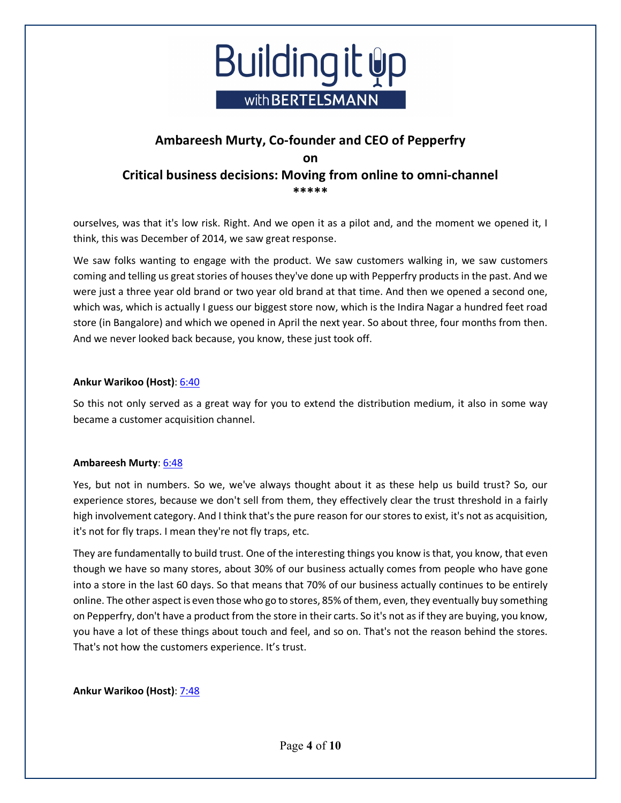

ourselves, was that it's low risk. Right. And we open it as a pilot and, and the moment we opened it, I think, this was December of 2014, we saw great response.

We saw folks wanting to engage with the product. We saw customers walking in, we saw customers coming and telling us great stories of houses they've done up with Pepperfry products in the past. And we were just a three year old brand or two year old brand at that time. And then we opened a second one, which was, which is actually I guess our biggest store now, which is the Indira Nagar a hundred feet road store (in Bangalore) and which we opened in April the next year. So about three, four months from then. And we never looked back because, you know, these just took off.

## **Ankur Warikoo (Host)**: 6:40

So this not only served as a great way for you to extend the distribution medium, it also in some way became a customer acquisition channel.

## **Ambareesh Murty**: 6:48

Yes, but not in numbers. So we, we've always thought about it as these help us build trust? So, our experience stores, because we don't sell from them, they effectively clear the trust threshold in a fairly high involvement category. And I think that's the pure reason for ourstores to exist, it's not as acquisition, it's not for fly traps. I mean they're not fly traps, etc.

They are fundamentally to build trust. One of the interesting things you know is that, you know, that even though we have so many stores, about 30% of our business actually comes from people who have gone into a store in the last 60 days. So that means that 70% of our business actually continues to be entirely online. The other aspect is even those who go to stores, 85% of them, even, they eventually buy something on Pepperfry, don't have a product from the store in their carts. So it's not as if they are buying, you know, you have a lot of these things about touch and feel, and so on. That's not the reason behind the stores. That's not how the customers experience. It's trust.

## **Ankur Warikoo (Host)**: 7:48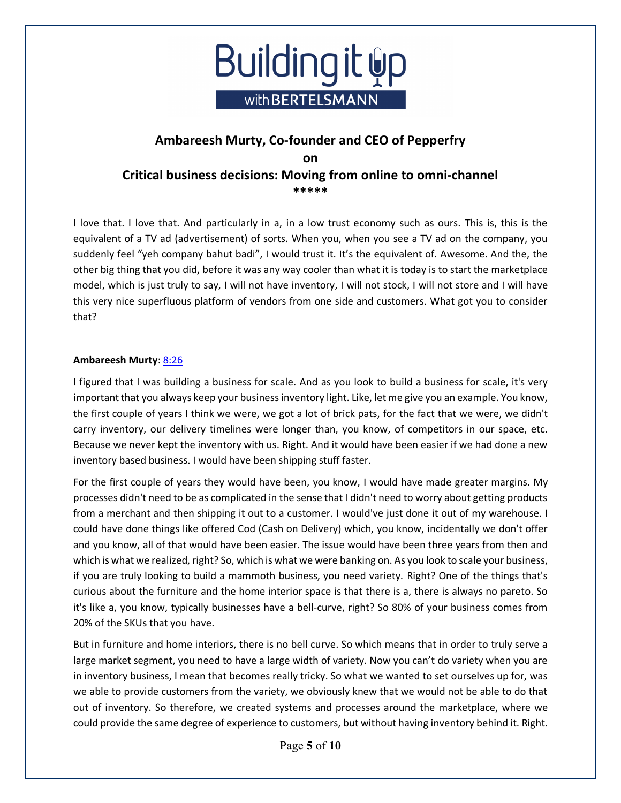

I love that. I love that. And particularly in a, in a low trust economy such as ours. This is, this is the equivalent of a TV ad (advertisement) of sorts. When you, when you see a TV ad on the company, you suddenly feel "yeh company bahut badi", I would trust it. It's the equivalent of. Awesome. And the, the other big thing that you did, before it was any way cooler than what it is today is to start the marketplace model, which is just truly to say, I will not have inventory, I will not stock, I will not store and I will have this very nice superfluous platform of vendors from one side and customers. What got you to consider that?

## **Ambareesh Murty**: 8:26

I figured that I was building a business for scale. And as you look to build a business for scale, it's very important that you always keep your business inventory light. Like, let me give you an example. You know, the first couple of years I think we were, we got a lot of brick pats, for the fact that we were, we didn't carry inventory, our delivery timelines were longer than, you know, of competitors in our space, etc. Because we never kept the inventory with us. Right. And it would have been easier if we had done a new inventory based business. I would have been shipping stuff faster.

For the first couple of years they would have been, you know, I would have made greater margins. My processes didn't need to be as complicated in the sense that I didn't need to worry about getting products from a merchant and then shipping it out to a customer. I would've just done it out of my warehouse. I could have done things like offered Cod (Cash on Delivery) which, you know, incidentally we don't offer and you know, all of that would have been easier. The issue would have been three years from then and which is what we realized, right? So, which is what we were banking on. As you look to scale your business, if you are truly looking to build a mammoth business, you need variety. Right? One of the things that's curious about the furniture and the home interior space is that there is a, there is always no pareto. So it's like a, you know, typically businesses have a bell-curve, right? So 80% of your business comes from 20% of the SKUs that you have.

But in furniture and home interiors, there is no bell curve. So which means that in order to truly serve a large market segment, you need to have a large width of variety. Now you can't do variety when you are in inventory business, I mean that becomes really tricky. So what we wanted to set ourselves up for, was we able to provide customers from the variety, we obviously knew that we would not be able to do that out of inventory. So therefore, we created systems and processes around the marketplace, where we could provide the same degree of experience to customers, but without having inventory behind it. Right.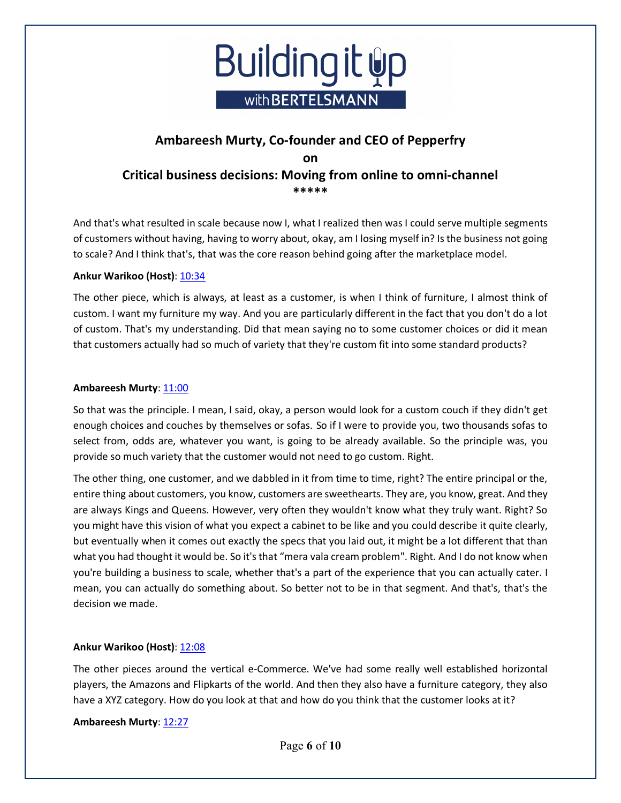

And that's what resulted in scale because now I, what I realized then was I could serve multiple segments of customers without having, having to worry about, okay, am I losing myself in? Is the business not going to scale? And I think that's, that was the core reason behind going after the marketplace model.

## **Ankur Warikoo (Host)**: 10:34

The other piece, which is always, at least as a customer, is when I think of furniture, I almost think of custom. I want my furniture my way. And you are particularly different in the fact that you don't do a lot of custom. That's my understanding. Did that mean saying no to some customer choices or did it mean that customers actually had so much of variety that they're custom fit into some standard products?

## **Ambareesh Murty**: 11:00

So that was the principle. I mean, I said, okay, a person would look for a custom couch if they didn't get enough choices and couches by themselves or sofas. So if I were to provide you, two thousands sofas to select from, odds are, whatever you want, is going to be already available. So the principle was, you provide so much variety that the customer would not need to go custom. Right.

The other thing, one customer, and we dabbled in it from time to time, right? The entire principal or the, entire thing about customers, you know, customers are sweethearts. They are, you know, great. And they are always Kings and Queens. However, very often they wouldn't know what they truly want. Right? So you might have this vision of what you expect a cabinet to be like and you could describe it quite clearly, but eventually when it comes out exactly the specs that you laid out, it might be a lot different that than what you had thought it would be. So it's that "mera vala cream problem". Right. And I do not know when you're building a business to scale, whether that's a part of the experience that you can actually cater. I mean, you can actually do something about. So better not to be in that segment. And that's, that's the decision we made.

## Ankur Warikoo (Host): 12:08

The other pieces around the vertical e-Commerce. We've had some really well established horizontal players, the Amazons and Flipkarts of the world. And then they also have a furniture category, they also have a XYZ category. How do you look at that and how do you think that the customer looks at it?

## **Ambareesh Murty**: 12:27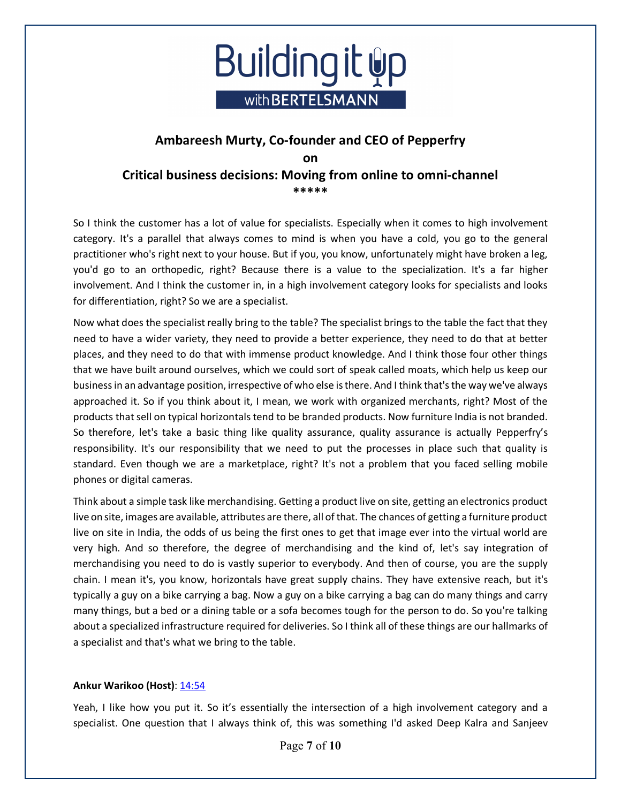

So I think the customer has a lot of value for specialists. Especially when it comes to high involvement category. It's a parallel that always comes to mind is when you have a cold, you go to the general practitioner who's right next to your house. But if you, you know, unfortunately might have broken a leg, you'd go to an orthopedic, right? Because there is a value to the specialization. It's a far higher involvement. And I think the customer in, in a high involvement category looks for specialists and looks for differentiation, right? So we are a specialist.

Now what does the specialist really bring to the table? The specialist brings to the table the fact that they need to have a wider variety, they need to provide a better experience, they need to do that at better places, and they need to do that with immense product knowledge. And I think those four other things that we have built around ourselves, which we could sort of speak called moats, which help us keep our business in an advantage position, irrespective of who else is there. And I think that's the way we've always approached it. So if you think about it, I mean, we work with organized merchants, right? Most of the products that sell on typical horizontals tend to be branded products. Now furniture India is not branded. So therefore, let's take a basic thing like quality assurance, quality assurance is actually Pepperfry's responsibility. It's our responsibility that we need to put the processes in place such that quality is standard. Even though we are a marketplace, right? It's not a problem that you faced selling mobile phones or digital cameras.

Think about a simple task like merchandising. Getting a product live on site, getting an electronics product live on site, images are available, attributes are there, all of that. The chances of getting a furniture product live on site in India, the odds of us being the first ones to get that image ever into the virtual world are very high. And so therefore, the degree of merchandising and the kind of, let's say integration of merchandising you need to do is vastly superior to everybody. And then of course, you are the supply chain. I mean it's, you know, horizontals have great supply chains. They have extensive reach, but it's typically a guy on a bike carrying a bag. Now a guy on a bike carrying a bag can do many things and carry many things, but a bed or a dining table or a sofa becomes tough for the person to do. So you're talking about a specialized infrastructure required for deliveries. So I think all of these things are our hallmarks of a specialist and that's what we bring to the table.

## **Ankur Warikoo (Host)**: 14:54

Yeah, I like how you put it. So it's essentially the intersection of a high involvement category and a specialist. One question that I always think of, this was something I'd asked Deep Kalra and Sanjeev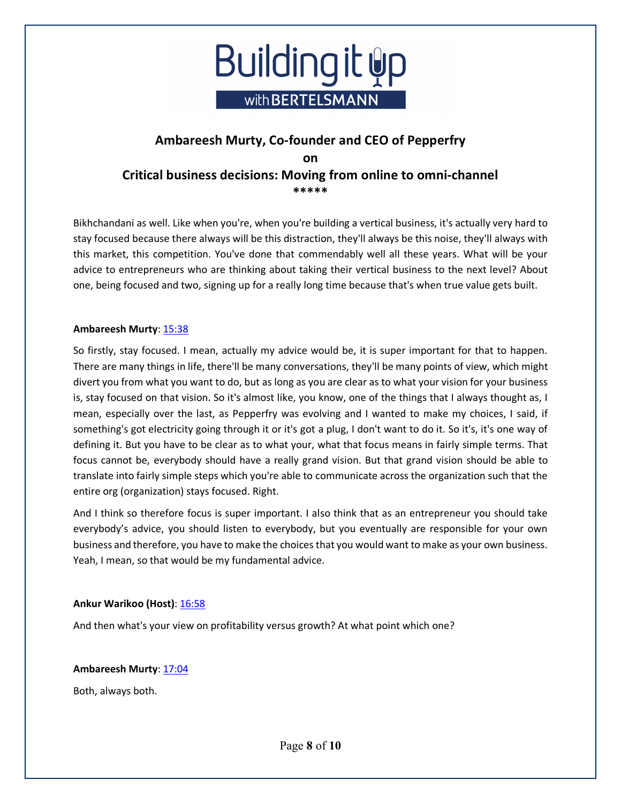

Bikhchandani as well. Like when you're, when you're building a vertical business, it's actually very hard to stay focused because there always will be this distraction, they'll always be this noise, they'll always with this market, this competition. You've done that commendably well all these years. What will be your advice to entrepreneurs who are thinking about taking their vertical business to the next level? About one, being focused and two, signing up for a really long time because that's when true value gets built.

## **Ambareesh Murty**: 15:38

So firstly, stay focused. I mean, actually my advice would be, it is super important for that to happen. There are many things in life, there'll be many conversations, they'll be many points of view, which might divert you from what you want to do, but as long as you are clear as to what your vision for your business is, stay focused on that vision. So it's almost like, you know, one of the things that I always thought as, I mean, especially over the last, as Pepperfry was evolving and I wanted to make my choices, I said, if something's got electricity going through it or it's got a plug, I don't want to do it. So it's, it's one way of defining it. But you have to be clear as to what your, what that focus means in fairly simple terms. That focus cannot be, everybody should have a really grand vision. But that grand vision should be able to translate into fairly simple steps which you're able to communicate across the organization such that the entire org (organization) stays focused. Right.

And I think so therefore focus is super important. I also think that as an entrepreneur you should take everybody's advice, you should listen to everybody, but you eventually are responsible for your own business and therefore, you have to make the choices that you would want to make as your own business. Yeah, I mean, so that would be my fundamental advice.

## **Ankur Warikoo (Host)**: 16:58

And then what's your view on profitability versus growth? At what point which one?

## **Ambareesh Murty**: 17:04

Both, always both.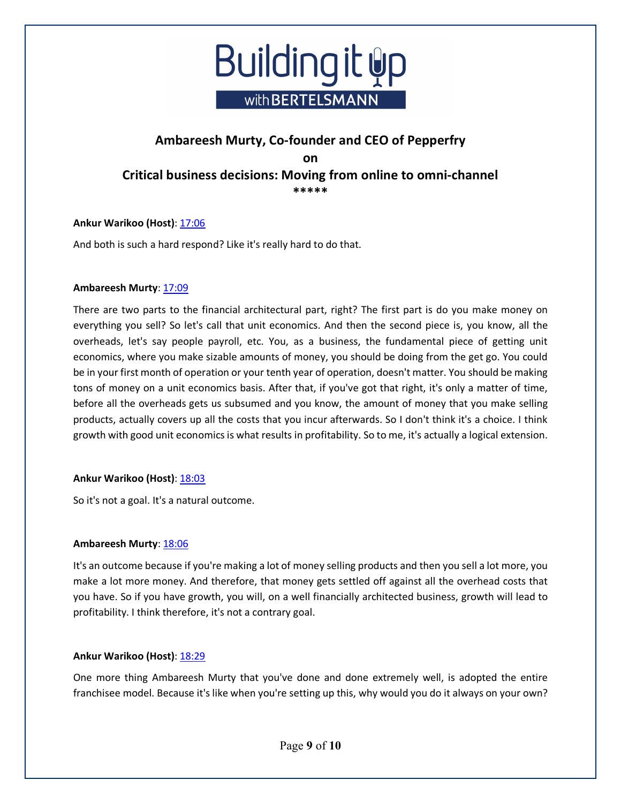

## Ankur Warikoo (Host): 17:06

And both is such a hard respond? Like it's really hard to do that.

#### **Ambareesh Murty**: 17:09

There are two parts to the financial architectural part, right? The first part is do you make money on everything you sell? So let's call that unit economics. And then the second piece is, you know, all the overheads, let's say people payroll, etc. You, as a business, the fundamental piece of getting unit economics, where you make sizable amounts of money, you should be doing from the get go. You could be in your first month of operation or your tenth year of operation, doesn't matter. You should be making tons of money on a unit economics basis. After that, if you've got that right, it's only a matter of time, before all the overheads gets us subsumed and you know, the amount of money that you make selling products, actually covers up all the costs that you incur afterwards. So I don't think it's a choice. I think growth with good unit economics is what results in profitability. So to me, it's actually a logical extension.

## **Ankur Warikoo (Host)**: 18:03

So it's not a goal. It's a natural outcome.

## Ambareesh Murty: 18:06

It's an outcome because if you're making a lot of money selling products and then you sell a lot more, you make a lot more money. And therefore, that money gets settled off against all the overhead costs that you have. So if you have growth, you will, on a well financially architected business, growth will lead to profitability. I think therefore, it's not a contrary goal.

## **Ankur Warikoo (Host)**: 18:29

One more thing Ambareesh Murty that you've done and done extremely well, is adopted the entire franchisee model. Because it's like when you're setting up this, why would you do it always on your own?